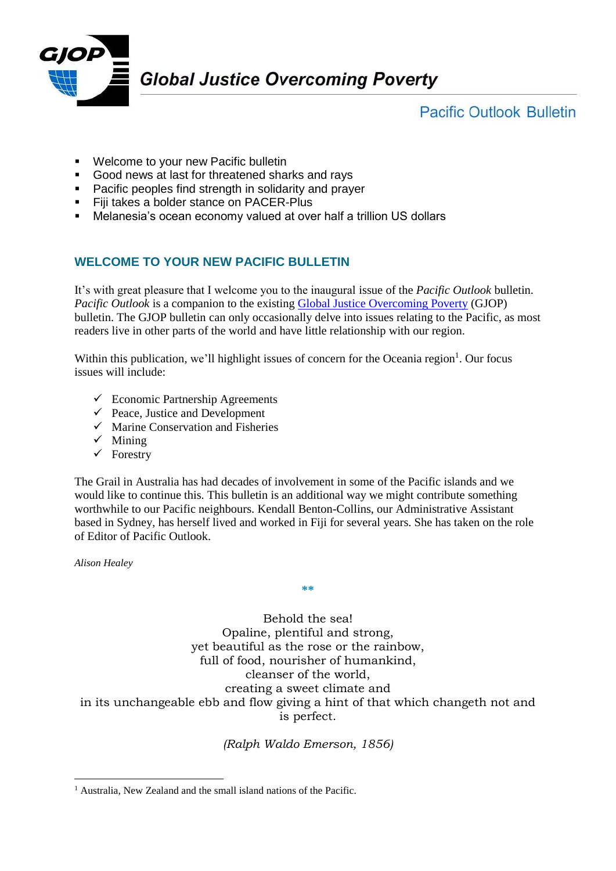

**Pacific Outlook Bulletin** 

- **Welcome to your new Pacific bulletin**
- Good news at last for threatened sharks and rays
- **Pacific peoples find strength in solidarity and prayer**
- **Fiji takes a bolder stance on PACER-Plus**
- Melanesia's ocean economy valued at over half a trillion US dollars

# **WELCOME TO YOUR NEW PACIFIC BULLETIN**

It's with great pleasure that I welcome you to the inaugural issue of the *Pacific Outlook* bulletin. *Pacific Outlook* is a companion to the existing [Global Justice Overcoming Poverty](http://www.thegrail.org/index.php?option=com_content&view=article&id=58&Itemid=76) (GJOP) bulletin. The GJOP bulletin can only occasionally delve into issues relating to the Pacific, as most readers live in other parts of the world and have little relationship with our region.

Within this publication, we'll highlight issues of concern for the Oceania region $<sup>1</sup>$ . Our focus</sup> issues will include:

- $\checkmark$  Economic Partnership Agreements
- $\checkmark$  Peace, Justice and Development
- $\checkmark$  Marine Conservation and Fisheries
- $\checkmark$  Mining
- $\checkmark$  Forestry

The Grail in Australia has had decades of involvement in some of the Pacific islands and we would like to continue this. This bulletin is an additional way we might contribute something worthwhile to our Pacific neighbours. Kendall Benton-Collins, our Administrative Assistant based in Sydney, has herself lived and worked in Fiji for several years. She has taken on the role of Editor of Pacific Outlook.

**\*\***

*Alison Healey*

1

Behold the sea! Opaline, plentiful and strong, yet beautiful as the rose or the rainbow, full of food, nourisher of humankind, cleanser of the world, creating a sweet climate and in its unchangeable ebb and flow giving a hint of that which changeth not and is perfect.

*(Ralph Waldo Emerson, 1856)*

<sup>&</sup>lt;sup>1</sup> Australia, New Zealand and the small island nations of the Pacific.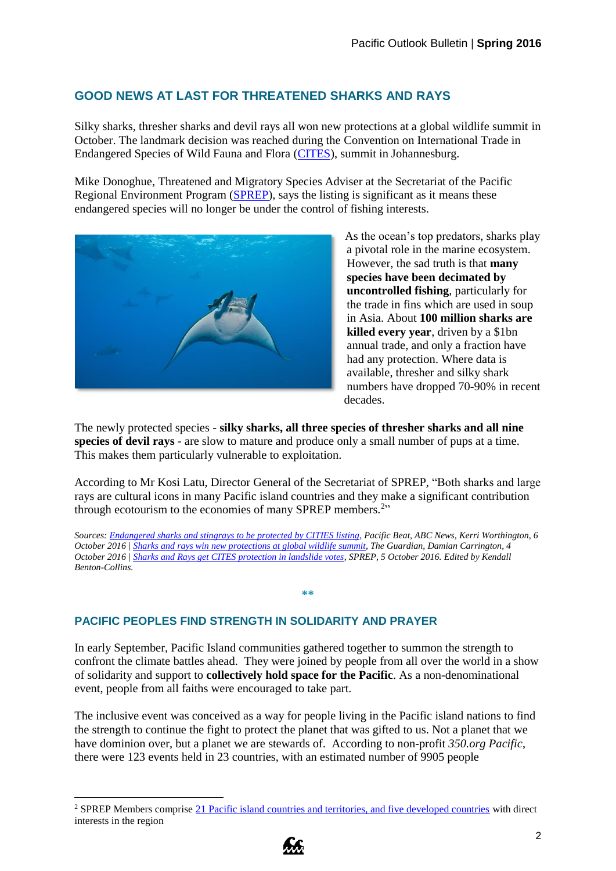## **GOOD NEWS AT LAST FOR THREATENED SHARKS AND RAYS**

Silky sharks, thresher sharks and devil rays all won new protections at a global wildlife summit in October. The landmark decision was reached during the Convention on International Trade in Endangered Species of Wild Fauna and Flora [\(CITES\)](https://cites.org/cop17), summit in Johannesburg.

Mike Donoghue, Threatened and Migratory Species Adviser at the Secretariat of the Pacific Regional Environment Program [\(SPREP\)](http://www.sprep.org/), says the listing is significant as it means these endangered species will no longer be under the control of fishing interests.



As the ocean's top predators, sharks play a pivotal role in the marine ecosystem. However, the sad truth is that **many species have been decimated by uncontrolled fishing**, particularly for the trade in fins which are used in soup in Asia. About **100 million sharks are killed every year**, driven by a \$1bn annual trade, and only a fraction have had any protection. Where data is available, thresher and silky shark numbers have dropped 70-90% in recent decades.

The newly protected species - **silky sharks, all three species of thresher sharks and all nine species of devil rays** - are slow to mature and produce only a small number of pups at a time. This makes them particularly vulnerable to exploitation.

According to Mr Kosi Latu, Director General of the Secretariat of SPREP, "Both sharks and large rays are cultural icons in many Pacific island countries and they make a significant contribution through ecotourism to the economies of many SPREP members. $2$ <sup>2</sup>

*Sources[: Endangered sharks and stingrays to be protected by CITIES listing,](http://www.abc.net.au/news/2016-10-06/endangered-sharks-and-stingrays-to-be-protected-by/7907770) Pacific Beat, ABC News, Kerri Worthington, 6 October 2016 [| Sharks and rays win new protections at global wildlife summit,](https://www.theguardian.com/environment/2016/oct/04/sharks-and-rays-win-new-protections-at-global-wildlife-summit) The Guardian, Damian Carrington, 4 October 2016 [| Sharks and Rays get CITES protection in landslide votes,](http://www.sprep.org/biodiversity-ecosystems-management/sharks-and-rays-get-cites-protection-in-landslide-votes) SPREP, 5 October 2016. Edited by Kendall Benton-Collins.*

**\*\***

#### **PACIFIC PEOPLES FIND STRENGTH IN SOLIDARITY AND PRAYER**

1

In early September, Pacific Island communities gathered together to summon the strength to confront the climate battles ahead. They were joined by people from all over the world in a show of solidarity and support to **collectively hold space for the Pacific**. As a non-denominational event, people from all faiths were encouraged to take part.

The inclusive event was conceived as a way for people living in the Pacific island nations to find the strength to continue the fight to protect the planet that was gifted to us. Not a planet that we have dominion over, but a planet we are stewards of. According to non-profit *350.org Pacific*, there were 123 events held in 23 countries, with an estimated number of 9905 people

<sup>&</sup>lt;sup>2</sup> SPREP Members comprise [21 Pacific island countries and territories, and five developed countries](https://en.wikipedia.org/wiki/Pacific_Regional_Environment_Programme) with direct interests in the region

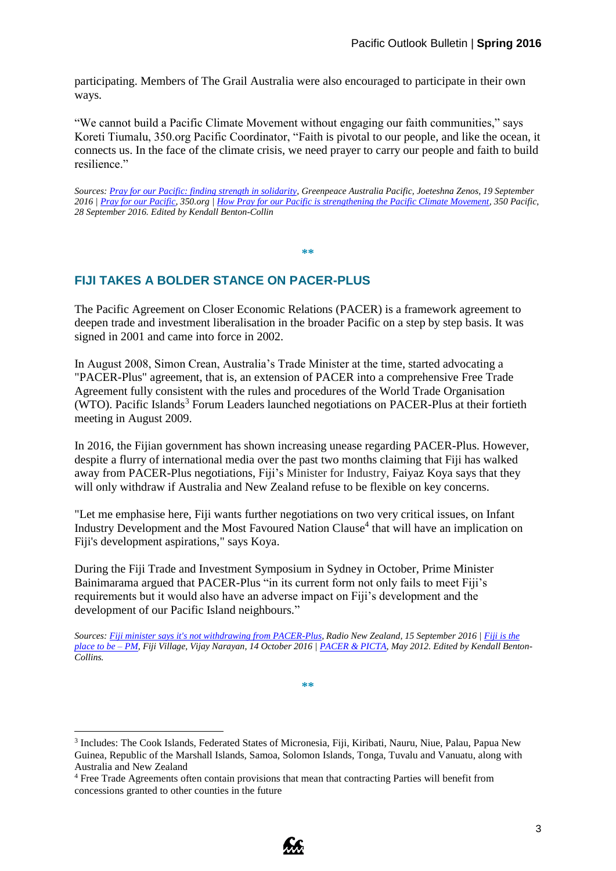participating. Members of The Grail Australia were also encouraged to participate in their own ways.

"We cannot build a Pacific Climate Movement without engaging our faith communities," says Koreti Tiumalu, 350.org Pacific Coordinator, "Faith is pivotal to our people, and like the ocean, it connects us. In the face of the climate crisis, we need prayer to carry our people and faith to build resilience."

*Sources: [Pray for our Pacific: finding strength in solidarity,](http://www.greenpeace.org.au/blog/pray-for-our-pacific-climate-justice/) Greenpeace Australia Pacific, Joeteshna Zenos, 19 September 2016 | [Pray for our Pacific,](http://350pacific.org/prayforourpacific/) 350.org [| How Pray for our Pacific is strengthening the Pacific Climate Movement,](https://medium.com/@350Pacific/how-pray-for-our-pacific-is-strengthening-the-pacific-climate-movement-74a68530fc4#.rdifoi3ou) 350 Pacific, 28 September 2016. Edited by Kendall Benton-Collin*

**\*\***

### **FIJI TAKES A BOLDER STANCE ON PACER-PLUS**

The Pacific Agreement on Closer Economic Relations (PACER) is a framework agreement to deepen trade and investment liberalisation in the broader Pacific on a step by step basis. It was signed in 2001 and came into force in 2002.

In August 2008, Simon Crean, Australia's Trade Minister at the time, started advocating a "PACER-Plus" agreement, that is, an extension of PACER into a comprehensive Free Trade Agreement fully consistent with the rules and procedures of the World Trade Organisation (WTO). Pacific Islands<sup>3</sup> Forum Leaders launched negotiations on PACER-Plus at their fortieth meeting in August 2009.

In 2016, the Fijian government has shown increasing unease regarding PACER-Plus. However, despite a flurry of international media over the past two months claiming that Fiji has walked away from PACER-Plus negotiations, Fiji's Minister for Industry, Faiyaz Koya says that they will only withdraw if Australia and New Zealand refuse to be flexible on key concerns.

"Let me emphasise here, Fiji wants further negotiations on two very critical issues, on Infant Industry Development and the Most Favoured Nation Clause<sup>4</sup> that will have an implication on Fiji's development aspirations," says Koya.

During the Fiji Trade and Investment Symposium in Sydney in October, Prime Minister Bainimarama argued that PACER-Plus "in its current form not only fails to meet Fiji's requirements but it would also have an adverse impact on Fiji's development and the development of our Pacific Island neighbours."

*Sources: [Fiji minister says it's not withdrawing from PACER-Plus,](http://www.radionz.co.nz/international/pacific-news/313414/fiji-minister-says-it) Radio New Zealand, 15 September 2016 | [Fiji is the](http://fijivillage.com/news/Fiji-is-the-place-to-be---PM-9sk2r5/)  [place to be –](http://fijivillage.com/news/Fiji-is-the-place-to-be---PM-9sk2r5/) PM, Fiji Village, Vijay Narayan, 14 October 2016 | [PACER & PICTA,](http://www.bilaterals.org/?-PACER-PICTA-) May 2012. Edited by Kendall Benton-Collins.*

**\*\***

<u>.</u>



<sup>&</sup>lt;sup>3</sup> Includes: The Cook Islands, Federated States of Micronesia, Fiji, Kiribati, Nauru, Niue, Palau, Papua New Guinea, Republic of the Marshall Islands, Samoa, Solomon Islands, Tonga, Tuvalu and Vanuatu, along with Australia and New Zealand

<sup>4</sup> Free Trade Agreements often contain provisions that mean that contracting Parties will benefit from concessions granted to other counties in the future